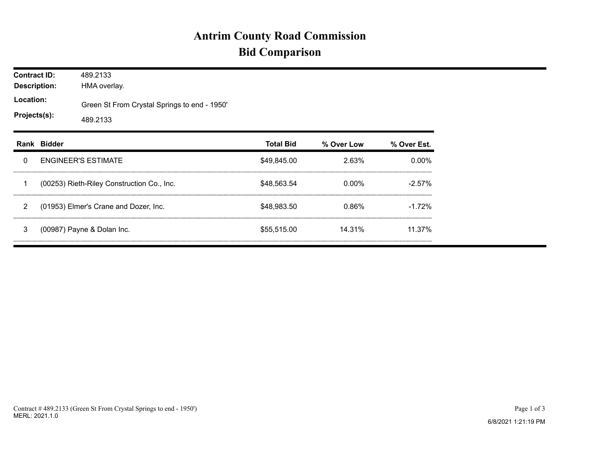## **Antrim County Road Commission Bid Comparison**

| <b>Contract ID:</b><br><b>Description:</b><br>Location:<br>Projects(s): |             | 489.2133<br>HMA overlay.                                 |                  |            |             |  |  |  |  |
|-------------------------------------------------------------------------|-------------|----------------------------------------------------------|------------------|------------|-------------|--|--|--|--|
|                                                                         |             | Green St From Crystal Springs to end - 1950'<br>489.2133 |                  |            |             |  |  |  |  |
|                                                                         | Rank Bidder |                                                          | <b>Total Bid</b> | % Over Low | % Over Est. |  |  |  |  |
| 0                                                                       |             | <b>ENGINEER'S ESTIMATE</b>                               | \$49,845.00      | 2.63%      | $0.00\%$    |  |  |  |  |
|                                                                         |             | (00253) Rieth-Riley Construction Co., Inc.               | \$48,563.54      | 0.00%      | $-2.57%$    |  |  |  |  |
| 2                                                                       |             | (01953) Elmer's Crane and Dozer, Inc.                    | \$48,983.50      | 0.86%      | $-1.72%$    |  |  |  |  |
| 3                                                                       |             | (00987) Payne & Dolan Inc.                               | \$55,515.00      | 14.31%     | 11.37%      |  |  |  |  |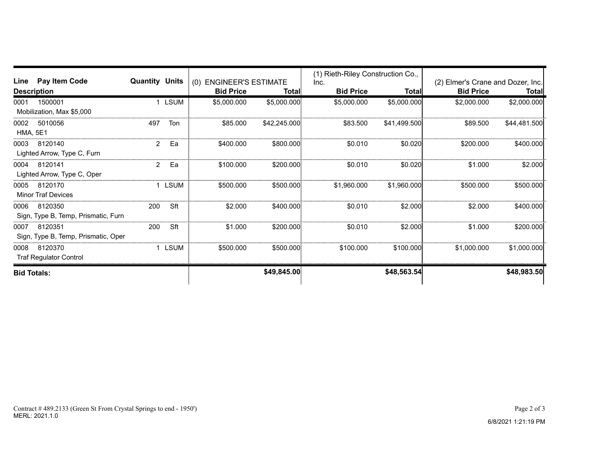|                           |                                     |                       |             |                         |              | (1) Rieth-Riley Construction Co., |              |                                   |              |
|---------------------------|-------------------------------------|-----------------------|-------------|-------------------------|--------------|-----------------------------------|--------------|-----------------------------------|--------------|
| Line                      | Pay Item Code                       | <b>Quantity Units</b> |             | (0) ENGINEER'S ESTIMATE |              | Inc.                              |              | (2) Elmer's Crane and Dozer, Inc. |              |
| <b>Description</b>        |                                     | <b>Bid Price</b>      | Totall      | <b>Bid Price</b>        | Total        | <b>Bid Price</b>                  | <b>Total</b> |                                   |              |
| 0001                      | 1500001                             |                       | <b>LSUM</b> | \$5,000.000             | \$5,000.000  | \$5,000.000                       | \$5,000.000  | \$2,000.000                       | \$2,000.000  |
| Mobilization, Max \$5,000 |                                     |                       |             |                         |              |                                   |              |                                   |              |
| 0002                      | 5010056                             | 497                   | Ton         | \$85,000                | \$42,245.000 | \$83,500                          | \$41.499.500 | \$89,500                          | \$44,481.500 |
| <b>HMA, 5E1</b>           |                                     |                       |             |                         |              |                                   |              |                                   |              |
| 0003                      | 8120140                             | 2                     | Ea          | \$400,000               | \$800,000    | \$0.010                           | \$0.020      | \$200.000                         | \$400.000    |
|                           | Lighted Arrow, Type C, Furn         |                       |             |                         |              |                                   |              |                                   |              |
| 0004                      | 8120141                             | 2                     | Ea          | \$100,000               | \$200,000    | \$0.010                           | \$0.020      | \$1,000                           | \$2.000      |
|                           | Lighted Arrow, Type C, Oper         |                       |             |                         |              |                                   |              |                                   |              |
| 0005                      | 8120170                             |                       | LSUM        | \$500.000               | \$500.000    | \$1,960.000                       | \$1,960.000  | \$500,000                         | \$500.000    |
|                           | <b>Minor Traf Devices</b>           |                       |             |                         |              |                                   |              |                                   |              |
| 0006                      | 8120350                             | 200                   | Sft         | \$2,000                 | \$400,000    | \$0.010                           | \$2,000      | \$2.000                           | \$400.000    |
|                           | Sign, Type B, Temp, Prismatic, Furn |                       |             |                         |              |                                   |              |                                   |              |
| 0007                      | 8120351                             | 200                   | Sft         | \$1.000                 | \$200.000    | \$0.010                           | \$2.000      | \$1.000                           | \$200.000    |
|                           | Sign, Type B, Temp, Prismatic, Oper |                       |             |                         |              |                                   |              |                                   |              |
| 0008                      | 8120370                             |                       | LSUM        | \$500,000               | \$500,000    | \$100.000                         | \$100,000    | \$1,000,000                       | \$1,000,000  |
|                           | <b>Traf Regulator Control</b>       |                       |             |                         |              |                                   |              |                                   |              |
| <b>Bid Totals:</b>        |                                     |                       |             |                         | \$49,845.00  |                                   | \$48,563.54  |                                   | \$48,983.50  |